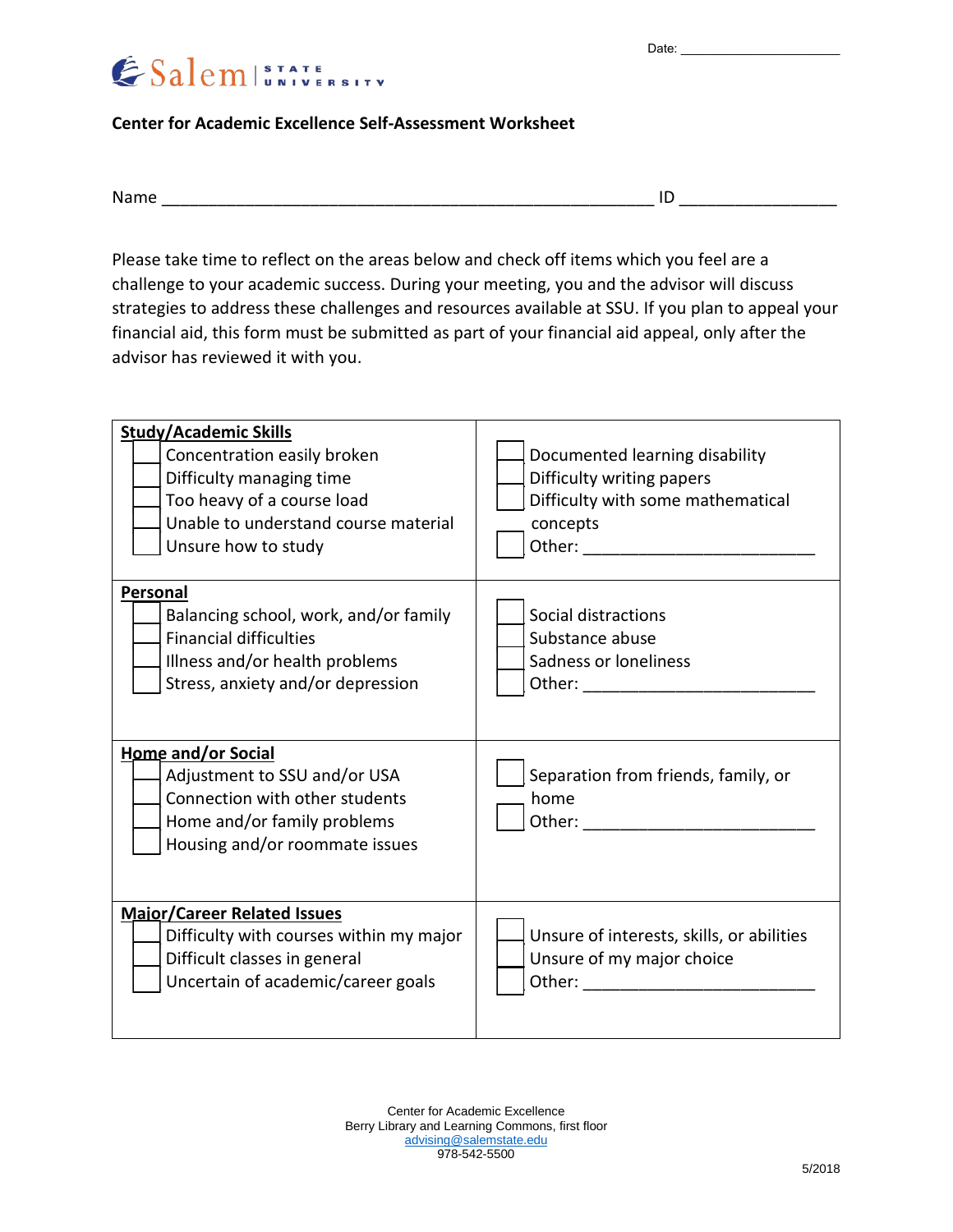Date:



**Center for Academic Excellence Self-Assessment Worksheet**

| יי<br>___ |  |  |
|-----------|--|--|
|           |  |  |

Please take time to reflect on the areas below and check off items which you feel are a challenge to your academic success. During your meeting, you and the advisor will discuss strategies to address these challenges and resources available at SSU. If you plan to appeal your financial aid, this form must be submitted as part of your financial aid appeal, only after the advisor has reviewed it with you.

| <b>Study/Academic Skills</b><br>Concentration easily broken<br>Difficulty managing time<br>Too heavy of a course load<br>Unable to understand course material<br>Unsure how to study | Documented learning disability<br>Difficulty writing papers<br>Difficulty with some mathematical<br>concepts<br>Other: when the contract of the contract of the contract of the contract of the contract of the contract of the |
|--------------------------------------------------------------------------------------------------------------------------------------------------------------------------------------|---------------------------------------------------------------------------------------------------------------------------------------------------------------------------------------------------------------------------------|
| Personal<br>Balancing school, work, and/or family<br><b>Financial difficulties</b><br>Illness and/or health problems<br>Stress, anxiety and/or depression                            | Social distractions<br>Substance abuse<br>Sadness or loneliness                                                                                                                                                                 |
| <b>Home and/or Social</b><br>Adjustment to SSU and/or USA<br>Connection with other students<br>Home and/or family problems<br>Housing and/or roommate issues                         | Separation from friends, family, or<br>home                                                                                                                                                                                     |
| <b>Major/Career Related Issues</b><br>Difficulty with courses within my major<br>Difficult classes in general<br>Uncertain of academic/career goals                                  | Unsure of interests, skills, or abilities<br>Unsure of my major choice<br>Other: when the contract of the contract of the contract of the contract of the contract of the contract of the                                       |

Center for Academic Excellence Berry Library and Learning Commons, first floor [advising@salemstate.edu](mailto:advising@salemstate.edu) 978-542-5500